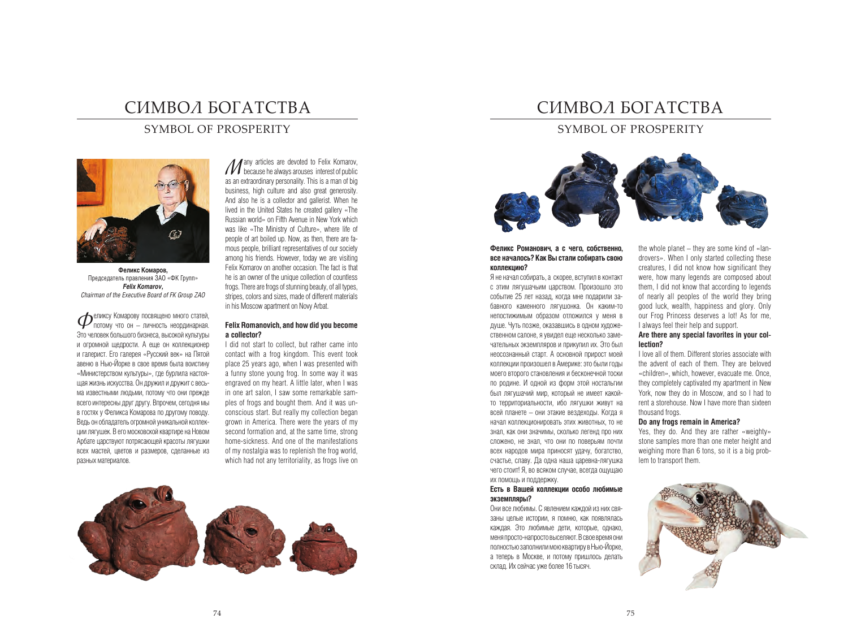# символ богатства

## Symbol of prosperity



**Феликс Комаров,** Председатель правления ЗАО «ФК Групп» *Felix Komarov, Chairman of the Executive Board of FK Group ZAO*

Феликсу Комарову посвящено много статей, потому что он – личность неординарная. Это человек большого бизнеса, высокой культуры и огромной щедрости. А еще он коллекционер и галерист. Его галерея «Русский век» на Пятой авеню в Нью-Йорке в свое время была воистину «Министерством культуры», где бурлила настоящая жизнь искусства. Он дружил и дружит с весьма известными людьми, потому что они прежде всего интересны друг другу. Впрочем, сегодня мы в гостях у Феликса Комарова по другому поводу. Ведь он обладатель огромной уникальной коллекции лягушек. В его московской квартире на Новом Арбате царствуют потрясающей красоты лягушки всех мастей, цветов и размеров, сделанные из разных материалов.

*M* any articles are devoted to Felix Komarov,<br>because he always arouses interest of public<br>as an extractlinary parameteristic is a map of big as an extraordinary personality. This is a man of big business, high culture and also great generosity. And also he is a collector and gallerist. When he lived in the United States he created gallery «The Russian world» on Fifth Avenue in New York which was like «The Ministry of Culture», where life of people of art boiled up. Now, as then, there are famous people, brilliant representatives of our society among his friends. However, today we are visiting Felix Komarov on another occasion. The fact is that he is an owner of the unique collection of countless frogs. There are frogs of stunning beauty, of all types, stripes, colors and sizes, made of different materials in his Moscow apartment on Novy Arbat.

#### **Felix Romanovich, and how did you become a collector?**

I did not start to collect, but rather came into contact with a frog kingdom. This event took place 25 years ago, when I was presented with a funny stone young frog. In some way it was engraved on my heart. A little later, when I was in one art salon, I saw some remarkable samples of frogs and bought them. And it was unconscious start. But really my collection began grown in America. There were the years of my second formation and, at the same time, strong home-sickness. And one of the manifestations of my nostalgia was to replenish the frog world, which had not any territoriality, as frogs live on



# символ богатства

## SYMBOL OF PROSPERITY



#### **Феликс Романович, а с чего, собственно, все началось? Как Вы стали собирать свою коллекцию?**

Я не начал собирать, а скорее, вступил в контакт с этим лягушачьим царством. Произошло это событие 25 лет назад, когда мне подарили забавного каменного лягушонка. Он каким-то непостижимым образом отложился у меня в душе. Чуть позже, оказавшись в одном художественном салоне, я увидел еще несколько замечательных экземпляров и прикупил их. Это был неосознанный старт. А основной прирост моей коллекции произошел в Америке: это были годы моего второго становления и бесконечной тоски по родине. И одной из форм этой ностальгии был лягушачий мир, который не имеет какойто территориальности, ибо лягушки живут на всей планете – они этакие вездеходы. Когда я начал коллекционировать этих животных, то не знал, как они значимы, сколько легенд про них сложено, не знал, что они по поверьям почти всех народов мира приносят удачу, богатство, счастье, славу. Да одна наша царевна-лягушка чего стоит! Я, во всяком случае, всегда ощущаю их помощь и поддержку.

### **Есть в Вашей коллекции особо любимые экземпляры?**

Они все любимы. С явлением каждой из них связаны целые истории, я помню, как появлялась каждая. Это любимые дети, которые, однако, меня просто-напросто выселяют. В свое время они полностью заполнили мою квартиру в Нью-Йорке, а теперь в Москве, и потому пришлось делать склад. Их сейчас уже более 16 тысяч.

the whole planet – they are some kind of «landrovers». When I only started collecting these creatures, I did not know how significant they were, how many legends are composed about them, I did not know that according to legends of nearly all peoples of the world they bring good luck, wealth, happiness and glory. Only our Frog Princess deserves a lot! As for me, I always feel their help and support.

## **Are there any special favorites in your collection?**

I love all of them. Different stories associate with the advent of each of them. They are beloved «children», which, however, evacuate me. Once, they completely captivated my apartment in New York, now they do in Moscow, and so I had to rent a storehouse. Now I have more than sixteen thousand frogs.

#### **Do any frogs remain in America?**

Yes, they do. And they are rather «weighty» stone samples more than one meter height and weighing more than 6 tons, so it is a big problem to transport them.

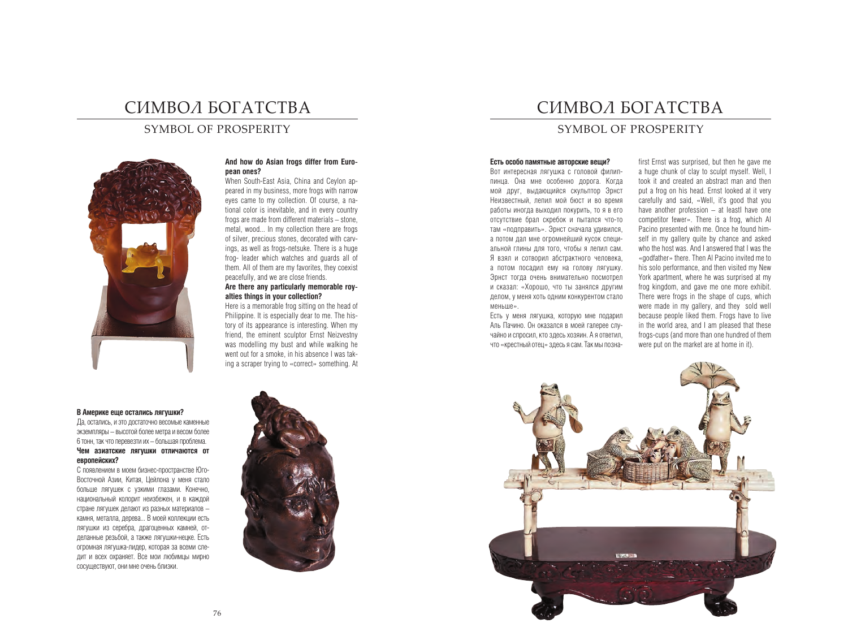# символ богатства

## SYMBOL OF PROSPERITY



## **And how do Asian frogs differ from European ones?**

When South-East Asia, China and Ceylon appeared in my business, more frogs with narrow eyes came to my collection. Of course, a national color is inevitable, and in every country frogs are made from different materials – stone, metal, wood... In my collection there are frogs of silver, precious stones, decorated with carvings, as well as frogs-netsuke. There is a huge frog- leader which watches and guards all of them. All of them are my favorites, they coexist peacefully, and we are close friends.

## **Are there any particularly memorable royalties things in your collection?**

Here is a memorable frog sitting on the head of Philippine. It is especially dear to me. The history of its appearance is interesting. When my friend, the eminent sculptor Ernst Neizvestny was modelling my bust and while walking he went out for a smoke, in his absence I was taking a scraper trying to «correct» something. At

#### **В Америке еще остались лягушки?**

Да, остались, и это достаточно весомые каменные экземпляры – высотой более метра и весом более 6 тонн, так что перевезти их – большая проблема. **Чем азиатские лягушки отличаются от европейских?**

С появлением в моем бизнес-пространстве Юго-Восточной Азии, Китая, Цейлона у меня стало больше лягушек с узкими глазами. Конечно, национальный колорит неизбежен, и в каждой стране лягушек делают из разных материалов – камня, металла, дерева... В моей коллекции есть лягушки из серебра, драгоценных камней, отделанные резьбой, а также лягушки-нецке. Есть огромная лягушка-лидер, которая за всеми следит и всех охраняет. Все мои любимцы мирно сосуществуют, они мне очень близки.



# символ богатства

# SYMBOL OF PROSPERITY

## **Есть особо памятные авторские вещи?**

Вот интересная лягушка с головой филиппинца. Она мне особенно дорога. Когда мой друг, выдающийся скульптор Эрнст Неизвестный, лепил мой бюст и во время работы иногда выходил покурить, то я в его отсутствие брал скребок и пытался что-то там «подправить». Эрнст сначала удивился, а потом дал мне огромнейший кусок специальной глины для того, чтобы я лепил сам. Я взял и сотворил абстрактного человека, а потом посадил ему на голову лягушку. Эрнст тогда очень внимательно посмотрел и сказал: «Хорошо, что ты занялся другим делом, у меня хоть одним конкурентом стало меньше».

Есть у меня лягушка, которую мне подарил Аль Пачино. Он оказался в моей галерее случайно и спросил, кто здесь хозяин. А я ответил, что «крестный отец» здесь я сам. Так мы позна-

first Ernst was surprised, but then he gave me a huge chunk of clay to sculpt myself. Well, I took it and created an abstract man and then put a frog on his head. Ernst looked at it very carefully and said, «Well, it's good that you have another profession – at leastl have one competitor fewer». There is a frog, which Al Pacino presented with me. Once he found himself in my gallery quite by chance and asked who the host was. And I answered that I was the «godfather» there. Then Al Pacino invited me to his solo performance, and then visited my New York apartment, where he was surprised at my frog kingdom, and gave me one more exhibit. There were frogs in the shape of cups, which were made in my gallery, and they sold well because people liked them. Frogs have to live in the world area, and I am pleased that these frogs-cups (and more than one hundred of them were put on the market are at home in it).